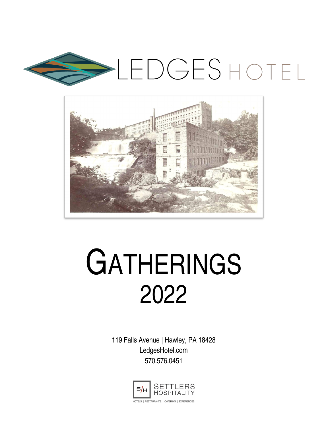



# **GATHERINGS** 2022

119 Falls Avenue | Hawley, PA 18428 LedgesHotel.com 570.576.0451

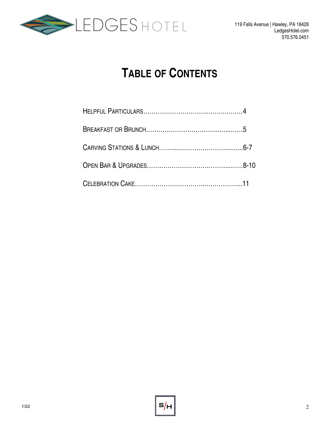

# **TABLE OF CONTENTS**

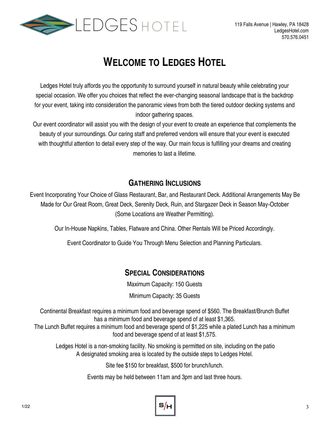

# **WELCOME TO LEDGES HOTEL**

Ledges Hotel truly affords you the opportunity to surround yourself in natural beauty while celebrating your special occasion. We offer you choices that reflect the ever-changing seasonal landscape that is the backdrop for your event, taking into consideration the panoramic views from both the tiered outdoor decking systems and indoor gathering spaces.

Our event coordinator will assist you with the design of your event to create an experience that complements the beauty of your surroundings. Our caring staff and preferred vendors will ensure that your event is executed with thoughtful attention to detail every step of the way. Our main focus is fulfilling your dreams and creating memories to last a lifetime.

#### **GATHERING INCLUSIONS**

Event Incorporating Your Choice of Glass Restaurant, Bar, and Restaurant Deck. Additional Arrangements May Be Made for Our Great Room, Great Deck, Serenity Deck, Ruin, and Stargazer Deck in Season May-October (Some Locations are Weather Permitting).

Our In-House Napkins, Tables, Flatware and China. Other Rentals Will be Priced Accordingly.

Event Coordinator to Guide You Through Menu Selection and Planning Particulars.

## **SPECIAL CONSIDERATIONS**

Maximum Capacity: 150 Guests

Minimum Capacity: 35 Guests

Continental Breakfast requires a minimum food and beverage spend of \$560. The Breakfast/Brunch Buffet has a minimum food and beverage spend of at least \$1,365.

The Lunch Buffet requires a minimum food and beverage spend of \$1,225 while a plated Lunch has a minimum food and beverage spend of at least \$1,575.

Ledges Hotel is a non-smoking facility. No smoking is permitted on site, including on the patio A designated smoking area is located by the outside steps to Ledges Hotel.

Site fee \$150 for breakfast, \$500 for brunch/lunch.

Events may be held between 11am and 3pm and last three hours.

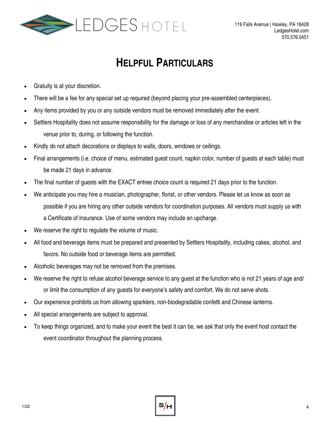

# **HELPFUL PARTICULARS**

- Gratuity is at your discretion.
- There will be a fee for any special set up required (beyond placing your pre-assembled centerpieces).
- Any items provided by you or any outside vendors must be removed immediately after the event.
- Settlers Hospitality does not assume responsibility for the damage or loss of any merchandise or articles left in the venue prior to, during, or following the function.
- Kindly do not attach decorations or displays to walls, doors, windows or ceilings.
- Final arrangements (i.e. choice of menu, estimated guest count, napkin color, number of guests at each table) must be made 21 days in advance.
- The final number of guests with the EXACT entree choice count is required 21 days prior to the function.
- We anticipate you may hire a musician, photographer, florist, or other vendors. Please let us know as soon as possible if you are hiring any other outside vendors for coordination purposes. All vendors must supply us with a Certificate of Insurance. Use of some vendors may include an upcharge.
- We reserve the right to regulate the volume of music.
- All food and beverage items must be prepared and presented by Settlers Hospitality, including cakes, alcohol, and favors. No outside food or beverage items are permitted.
- Alcoholic beverages may not be removed from the premises.
- We reserve the right to refuse alcohol beverage service to any guest at the function who is not 21 years of age and/ or limit the consumption of any guests for everyone's safety and comfort. We do not serve shots.
- Our experience prohibits us from allowing sparklers, non-biodegradable confetti and Chinese lanterns.
- All special arrangements are subject to approval.
- To keep things organized, and to make your event the best it can be, we ask that only the event host contact the event coordinator throughout the planning process.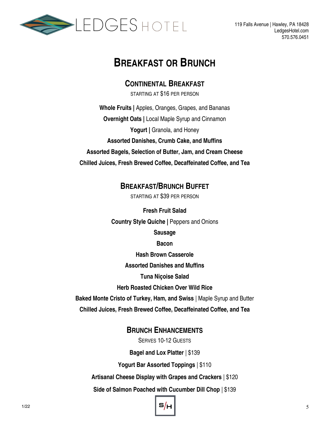

## **BREAKFAST OR BRUNCH**

**CONTINENTAL BREAKFAST**

STARTING AT \$16 PER PERSON

**Whole Fruits |** Apples, Oranges, Grapes, and Bananas **Overnight Oats |** Local Maple Syrup and Cinnamon Yogurt | Granola, and Honey **Assorted Danishes, Crumb Cake, and Muffins Assorted Bagels, Selection of Butter, Jam, and Cream Cheese Chilled Juices, Fresh Brewed Coffee, Decaffeinated Coffee, and Tea**

**BREAKFAST/BRUNCH BUFFET**

STARTING AT \$39 PER PERSON

**Fresh Fruit Salad Country Style Quiche |** Peppers and Onions **Sausage Bacon Hash Brown Casserole Assorted Danishes and Muffins Tuna Niçoise Salad**

**Herb Roasted Chicken Over Wild Rice**

**Baked Monte Cristo of Turkey, Ham, and Swiss** | Maple Syrup and Butter

**Chilled Juices, Fresh Brewed Coffee, Decaffeinated Coffee, and Tea**

#### **BRUNCH ENHANCEMENTS**

SERVES 10-12 GUESTS

**Bagel and Lox Platter** | \$139

**Yogurt Bar Assorted Toppings** | \$110

**Artisanal Cheese Display with Grapes and Crackers** | \$120

**Side of Salmon Poached with Cucumber Dill Chop** | \$139

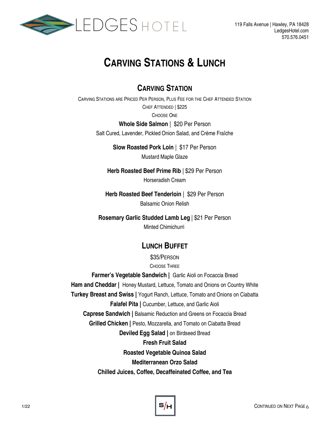

# **CARVING STATIONS & LUNCH**

#### **CARVING STATION**

CARVING STATIONS ARE PRICED PER PERSON, PLUS FEE FOR THE CHEF ATTENDED STATION CHEF ATTENDED | \$225 CHOOSE ONE

#### **Whole Side Salmon** | \$20 Per Person

Salt Cured, Lavender, Pickled Onion Salad, and Crème Fraîche

**Slow Roasted Pork Loin** | \$17 Per Person Mustard Maple Glaze

**Herb Roasted Beef Prime Rib** | \$29 Per Person Horseradish Cream

**Herb Roasted Beef Tenderloin** | \$29 Per Person Balsamic Onion Relish

**Rosemary Garlic Studded Lamb Leg** | \$21 Per Person Minted Chimichurri

#### **LUNCH BUFFET**

\$35/PERSON CHOOSE THREE

**Farmer's Vegetable Sandwich |** Garlic Aioli on Focaccia Bread **Ham and Cheddar |** Honey Mustard, Lettuce, Tomato and Onions on Country White **Turkey Breast and Swiss |** Yogurt Ranch, Lettuce, Tomato and Onions on Ciabatta **Falafel Pita | Cucumber, Lettuce, and Garlic Aioli Caprese Sandwich |** Balsamic Reduction and Greens on Focaccia Bread **Grilled Chicken | Pesto, Mozzarella, and Tomato on Ciabatta Bread Deviled Egg Salad |** on Birdseed Bread **Fresh Fruit Salad Roasted Vegetable Quinoa Salad Mediterranean Orzo Salad Chilled Juices, Coffee, Decaffeinated Coffee, and Tea**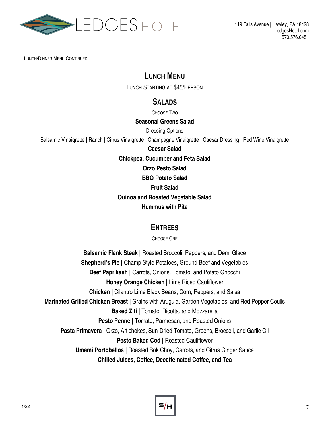

LUNCH/DINNER MENU CONTINUED

#### **LUNCH MENU**

LUNCH STARTING AT \$45/PERSON

#### **SALADS**

CHOOSE TWO

#### **Seasonal Greens Salad**

Dressing Options

Balsamic Vinaigrette | Ranch | Citrus Vinaigrette | Champagne Vinaigrette | Caesar Dressing | Red Wine Vinaigrette

**Caesar Salad**

**Chickpea, Cucumber and Feta Salad**

**Orzo Pesto Salad**

**BBQ Potato Salad**

**Fruit Salad**

**Quinoa and Roasted Vegetable Salad**

**Hummus with Pita**

#### **ENTREES**

CHOOSE ONE

**Balsamic Flank Steak |** Roasted Broccoli, Peppers, and Demi Glace **Shepherd's Pie |** Champ Style Potatoes, Ground Beef and Vegetables **Beef Paprikash |** Carrots, Onions, Tomato, and Potato Gnocchi **Honey Orange Chicken |** Lime Riced Cauliflower **Chicken |** Cilantro Lime Black Beans, Corn, Peppers, and Salsa **Marinated Grilled Chicken Breast |** Grains with Arugula, Garden Vegetables, and Red Pepper Coulis **Baked Ziti |** Tomato, Ricotta, and Mozzarella **Pesto Penne |** Tomato, Parmesan, and Roasted Onions **Pasta Primavera |** Orzo, Artichokes, Sun-Dried Tomato, Greens, Broccoli, and Garlic Oil **Pesto Baked Cod | Roasted Cauliflower Umami Portobellos |** Roasted Bok Choy, Carrots, and Citrus Ginger Sauce **Chilled Juices, Coffee, Decaffeinated Coffee, and Tea**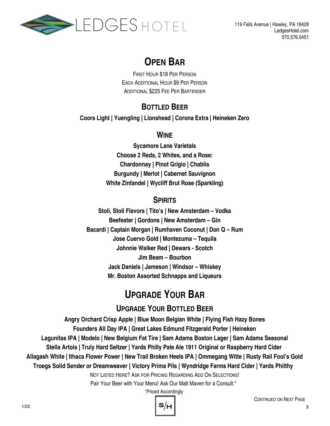

## **OPEN BAR**

FIRST HOUR \$18 PER PERSON EACH ADDITIONAL HOUR \$9 PER PERSON ADDITIONAL \$225 FEE PER BARTENDER

## **BOTTLED BEER**

**Coors Light | Yuengling | Lionshead | Corona Extra | Heineken Zero** 

#### **WINE**

**Sycamore Lane Varietals Choose 2 Reds, 2 Whites, and a Rose: Chardonnay | Pinot Grigio | Chablis Burgundy | Merlot | Cabernet Sauvignon White Zinfandel | Wycliff Brut Rose (Sparkling)**

## **SPIRITS**

**Stoli, Stoli Flavors | Tito's | New Amsterdam – Vodka Beefeater | Gordons | New Amsterdam – Gin Bacardi | Captain Morgan | Rumhaven Coconut | Don Q – Rum Jose Cuervo Gold | Montezuma – Tequila Johnnie Walker Red | Dewars - Scotch Jim Beam – Bourbon Jack Daniels | Jameson | Windsor – Whiskey Mr. Boston Assorted Schnapps and Liqueurs**

# **UPGRADE YOUR BAR**

## **UPGRADE YOUR BOTTLED BEER**

**Angry Orchard Crisp Apple | Blue Moon Belgian White | Flying Fish Hazy Bones Founders All Day IPA | Great Lakes Edmund Fitzgerald Porter | Heineken Lagunitas IPA | Modelo | New Belgium Fat Tire | Sam Adams Boston Lager | Sam Adams Seasonal Stella Artois | Truly Hard Seltzer | Yards Philly Pale Ale 1911 Original or Raspberry Hard Cider Allagash White | Ithaca Flower Power | New Trail Broken Heels IPA | Ommegang Witte | Rusty Rail Fool's Gold Troegs Solid Sender or Dreamweaver | Victory Prima Pils | Wyndridge Farms Hard Cider | Yards Philthy**  NOT LISTED HERE? ASK FOR PRICING REGARDING ADD ON SELECTIONS!

Pair Your Beer with Your Menu! Ask Our Malt Maven for a Consult.\*

\*Priced Accordingly

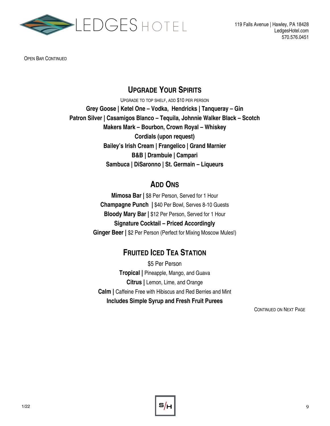

OPEN BAR CONTINUED

#### **UPGRADE YOUR SPIRITS**

UPGRADE TO TOP SHELF, ADD \$10 PER PERSON **Grey Goose | Ketel One – Vodka, Hendricks | Tanqueray – Gin Patron Silver | Casamigos Blanco – Tequila, Johnnie Walker Black – Scotch Makers Mark – Bourbon, Crown Royal – Whiskey Cordials (upon request) Bailey's Irish Cream | Frangelico | Grand Marnier B&B | Drambuie | Campari Sambuca | DiSaronno | St. Germain – Liqueurs**

#### **ADD ONS**

**Mimosa Bar |** \$8 Per Person, Served for 1 Hour **Champagne Punch |** \$40 Per Bowl, Serves 8-10 Guests **Bloody Mary Bar |** \$12 Per Person, Served for 1 Hour **Signature Cocktail – Priced Accordingly Ginger Beer |** \$2 Per Person (Perfect for Mixing Moscow Mules!)

## **FRUITED ICED TEA STATION**

\$5 Per Person **Tropical |** Pineapple, Mango, and Guava **Citrus |** Lemon, Lime, and Orange **Calm |** Caffeine Free with Hibiscus and Red Berries and Mint **Includes Simple Syrup and Fresh Fruit Purees**

CONTINUED ON NEXT PAGE

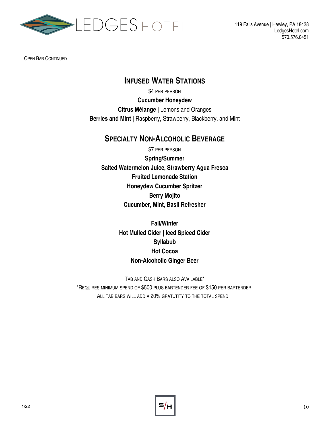

OPEN BAR CONTINUED

#### **INFUSED WATER STATIONS**

\$4 PER PERSON **Cucumber Honeydew Citrus Mélange |** Lemons and Oranges **Berries and Mint |** Raspberry, Strawberry, Blackberry, and Mint

#### **SPECIALTY NON-ALCOHOLIC BEVERAGE**

\$7 PER PERSON **Spring/Summer Salted Watermelon Juice, Strawberry Agua Fresca Fruited Lemonade Station Honeydew Cucumber Spritzer Berry Mojito Cucumber, Mint, Basil Refresher**

> **Fall/Winter Hot Mulled Cider | Iced Spiced Cider Syllabub Hot Cocoa Non-Alcoholic Ginger Beer**

TAB AND CASH BARS ALSO AVAILABLE\* \*REQUIRES MINIMUM SPEND OF \$500 PLUS BARTENDER FEE OF \$150 PER BARTENDER. ALL TAB BARS WILL ADD A 20% GRATUTITY TO THE TOTAL SPEND.